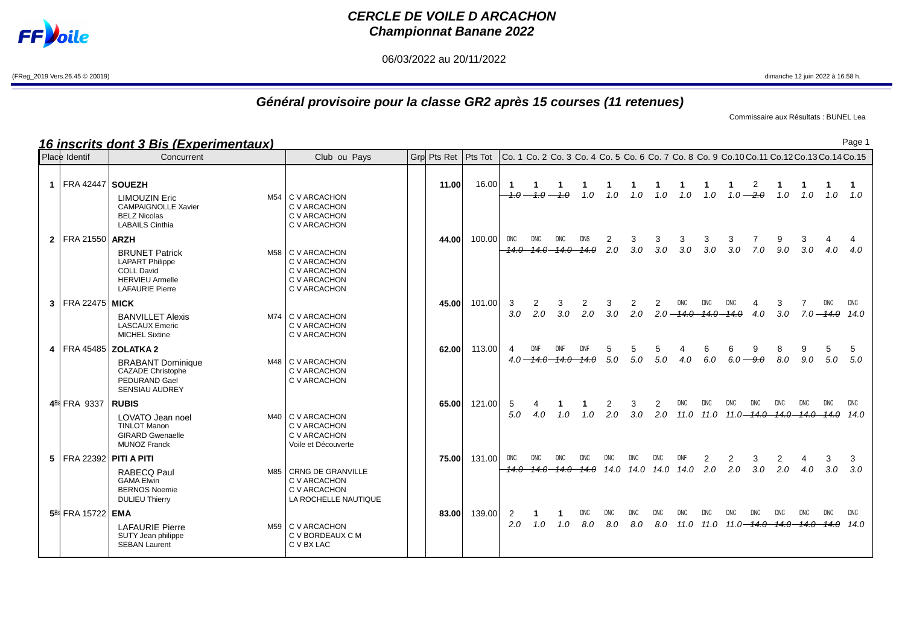

## **CERCLE DE VOILE D ARCACHON Championnat Banane 2022**

06/03/2022 au 20/11/2022

(FReg\_2019 Vers.26.45 © 20019) dimanche 12 juin 2022 à 16.58 h.

## **Général provisoire pour la classe GR2 après 15 courses (11 retenues)**

Commissaire aux Résultats : BUNEL Lea

**16 inscrits dont 3 Bis (Experimentaux)**

|                | Place Identif               | Concurrent                                                                                                               | Club ou Pays                                                                     | Grp Pts Ret   Pts Tot |        | Co. 1 Co. 2 Co. 3 Co. 4 Co. 5 Co. 6 Co. 7 Co. 8 Co. 9 Co.10 Co.11 Co.12 Co.13 Co.14 Co.15 |              |              |            |             |                              |          |                      |          |                                               |            |            |            |                       |                    |
|----------------|-----------------------------|--------------------------------------------------------------------------------------------------------------------------|----------------------------------------------------------------------------------|-----------------------|--------|-------------------------------------------------------------------------------------------|--------------|--------------|------------|-------------|------------------------------|----------|----------------------|----------|-----------------------------------------------|------------|------------|------------|-----------------------|--------------------|
|                | FRA 42447   SOUEZH          | <b>LIMOUZIN Eric</b><br><b>CAMPAIGNOLLE Xavier</b><br><b>BELZ Nicolas</b><br><b>LABAILS Cinthia</b>                      | M54 C V ARCACHON<br>C V ARCACHON<br>C V ARCACHON<br>C V ARCACHON                 | 11.00                 | 16.00  | -1<br>$4.0 -$                                                                             |              | $-1.0 - 1.0$ | 1.0        | 1.0         | 1.0                          | 1.0      | 1.0                  | 1.0      | 1.0 $-2.0$                                    | 2          | 1.0        | 1.0        | 1.0                   | 1.0                |
| 2 <sup>1</sup> | FRA 21550   <b>ARZH</b>     | <b>BRUNET Patrick</b><br><b>LAPART Philippe</b><br><b>COLL David</b><br><b>HERVIEU Armelle</b><br><b>LAFAURIE Pierre</b> | M58 C V ARCACHON<br>C V ARCACHON<br>C V ARCACHON<br>C V ARCACHON<br>C V ARCACHON | 44.00                 | 100.00 | DNC                                                                                       | <b>DNC</b>   | DNC          | DNS        | 2<br>2.0    | 3<br>3.0                     | 3<br>3.0 | 3<br>3.0             | З<br>3.0 | 3<br>3.0                                      | 7.0        | 9<br>9.0   | 3<br>3.0   | 4.0                   | 4.0                |
|                | $3$   FRA 22475   MICK      | <b>BANVILLET Alexis</b><br><b>LASCAUX Emeric</b><br><b>MICHEL Sixtine</b>                                                | M74 C V ARCACHON<br>C V ARCACHON<br>C V ARCACHON                                 | 45.00                 | 101.00 | 3<br>3.0                                                                                  | 2<br>2.0     | 3<br>3.0     | 2<br>2.0   | 3<br>3.0    | $2.0^{\circ}$                | 2        | DNC.<br>$2.0 - 14.0$ |          | DNC                                           | 4.0        | 3<br>3.0   |            | 7.0 <del>- 14.0</del> | DNC.<br>14.0       |
|                | 4   FRA 45485               | <b>ZOLATKA 2</b><br><b>BRABANT Dominique</b><br><b>CAZADE Christophe</b><br>PEDURAND Gael<br><b>SENSIAU AUDREY</b>       | M48 C V ARCACHON<br>C V ARCACHON<br>C V ARCACHON                                 | 62.00                 | 113.00 |                                                                                           | $4.0 - 14.0$ | DNF          | DNF        | 5<br>5.0    | 5<br>5.0                     | 5<br>5.0 | 4.0                  | 6.0      | 6<br>$6.0 - 9.0$                              | 9          | 8<br>8.0   | 9.0        | 5.0                   | 5<br>5.0           |
|                | 4Bis FRA 9337               | <b>RUBIS</b><br>LOVATO Jean noel<br><b>TINLOT Manon</b><br><b>GIRARD Gwenaelle</b><br><b>MUNOZ Franck</b>                | M40 C V ARCACHON<br>C V ARCACHON<br>C V ARCACHON<br>Voile et Découverte          | 65.00                 | 121.00 | 5<br>5.0                                                                                  | 4.0          | 1.0          | 1.0        | 2.0         | 3.0                          | 2.0      |                      |          | <b>DNC</b><br>11.0 11.0 11.0 <del> 14.0</del> | DNC        | DNC        | <b>DNC</b> | <b>DNC</b>            | <b>DNC</b><br>14.0 |
|                | 5   FRA 22392   PITI A PITI | <b>RABECQ Paul</b><br><b>GAMA Elwin</b><br><b>BERNOS Noemie</b><br><b>DULIEU Thierry</b>                                 | M85 CRNG DE GRANVILLE<br>C V ARCACHON<br>C V ARCACHON<br>LA ROCHELLE NAUTIQUE    | 75.00                 | 131.00 | DNC                                                                                       | <b>DNC</b>   | DNC          | <b>DNC</b> | DNC<br>14.0 | <b>DNC</b><br>14.0 14.0 14.0 |          |                      | 2.0      | 2<br>2.0                                      | 3<br>3.0   | 2.0        | 4.0        | 3.0                   | 3<br>3.0           |
|                | 5Bis FRA 15722 EMA          | <b>LAFAURIE Pierre</b><br>SUTY Jean philippe<br><b>SEBAN Laurent</b>                                                     | M59 C V ARCACHON<br>C V BORDEAUX C M<br>C V BX LAC                               | 83.00                 | 139.00 | 2<br>2.0                                                                                  | 1.0          | 1.0          | DNC<br>8.0 | 8.0         | 8.0                          | 8.0      | 11.0                 |          | <b>DNC</b><br>11.0 11.0 <del> 14.0</del>      | <b>DNC</b> | <b>DNC</b> | DNC        | DNC.                  | <b>DNC</b><br>14.0 |

Page 1